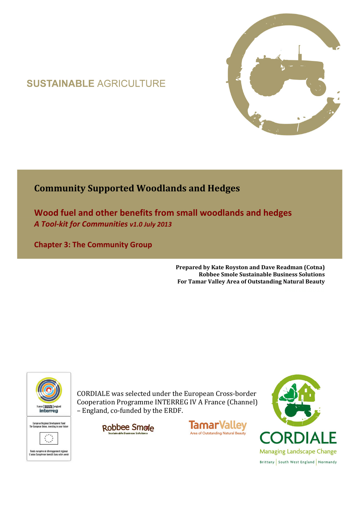# **SUSTAINABLE AGRICULTURE**



## **Community Supported Woodlands and Hedges**

**Wood fuel and other benefits from small woodlands and hedges**  *A Tool-kit for Communities v1.0 July 2013* 

**Chapter 3: The Community Group** 

**Prepared by Kate Royston and Dave Readman (Cotna) Robbee Smole Sustainable Business Solutions For Tamar Valley Area of Outstanding Natural Beauty**



CORDIALE was selected under the European Cross-border Cooperation Programme INTERREG IV A France (Channel) – England, co-funded by the ERDF.

Robbee Smole



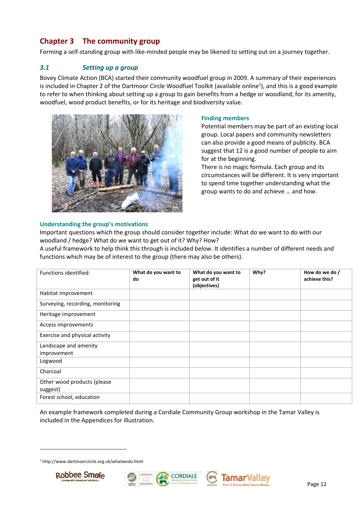## **Chapter 3 The community group**

Forming a self-standing group with like-minded people may be likened to setting out on a journey together.

### *3.1 Setting up a group*

Bovey Climate Action (BCA) started their community woodfuel group in 2009. A summary of their experiences is included in Chapter 2 of the Dartmoor Circle Woodfuel Toolkit (available online<sup>1</sup>), and this is a good example to refer to when thinking about setting up a group to gain benefits from a hedge or woodland, for its amenity, woodfuel, wood product benefits, or for its heritage and biodiversity value.



#### **Finding members**

Potential members may be part of an existing local group. Local papers and community newsletters can also provide a good means of publicity. BCA suggest that 12 is a good number of people to aim for at the beginning.

There is no magic formula. Each group and its circumstances will be different. It is very important to spend time together understanding what the group wants to do and achieve … and how.

#### **Understanding the group's motivations**

Important questions which the group should consider together include: What do we want to do with our woodland / hedge? What do we want to get out of it? Why? How?

A useful framework to help think this through is included below. It identifies a number of different needs and functions which may be of interest to the group (there may also be others).

| Functions identified:                   | What do you want to<br>do | What do you want to<br>get out of it<br>(objectives) | Why? | How do we do /<br>achieve this? |
|-----------------------------------------|---------------------------|------------------------------------------------------|------|---------------------------------|
| Habitat improvement                     |                           |                                                      |      |                                 |
| Surveying, recording, monitoring        |                           |                                                      |      |                                 |
| Heritage improvement                    |                           |                                                      |      |                                 |
| Access improvements                     |                           |                                                      |      |                                 |
| Exercise and physical activity          |                           |                                                      |      |                                 |
| Landscape and amenity<br>improvement    |                           |                                                      |      |                                 |
| Logwood                                 |                           |                                                      |      |                                 |
| Charcoal                                |                           |                                                      |      |                                 |
| Other wood products (please<br>suggest) |                           |                                                      |      |                                 |
| Forest school, education                |                           |                                                      |      |                                 |

An example framework completed during a Cordiale Community Group workshop in the Tamar Valley is included in the Appendices for illustration.

<sup>1</sup> http://www.dartmoorcircle.org.uk/whatwedo.html



 $\overline{a}$ 





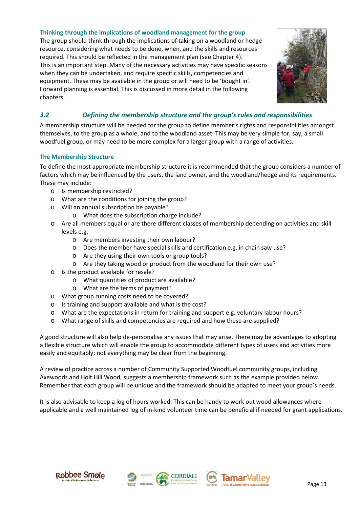#### **Thinking through the implications of woodland management for the group**

The group should think through the implications of taking on a woodland or hedge resource, considering what needs to be done, when, and the skills and resources required. This should be reflected in the management plan (see Chapter 4). This is an important step. Many of the necessary activities may have specific seasons when they can be undertaken, and require specific skills, competencies and equipment. These may be available in the group or will need to be 'bought in'. Forward planning is essential. This is discussed in more detail in the following chapters.



## *3.2 Defining the membership structure and the group's rules and responsibilities*

A membership structure will be needed for the group to define member's rights and responsibilities amongst themselves, to the group as a whole, and to the woodland asset. This may be very simple for, say, a small woodfuel group, or may need to be more complex for a larger group with a range of activities.

#### **The Membership Structure**

To define the most appropriate membership structure it is recommended that the group considers a number of factors which may be influenced by the users, the land owner, and the woodland/hedge and its requirements. These may include:

- o Is membership restricted?
- o What are the conditions for joining the group?
- o Will an annual subscription be payable?
	- o What does the subscription charge include?
- o Are all members equal or are there different classes of membership depending on activities and skill levels e.g.
	- o Are members investing their own labour?
	- o Does the member have special skills and certification e.g. in chain saw use?
	- o Are they using their own tools or group tools?
	- o Are they taking wood or product from the woodland for their own use?
- Is the product available for resale?
	- o What quantities of product are available?
	- o What are the terms of payment?
- o What group running costs need to be covered?
- o Is training and support available and what is the cost?
- o What are the expectations in return for training and support e.g. voluntary labour hours?
- o What range of skills and competencies are required and how these are supplied?

A good structure will also help de-personalise any issues that may arise. There may be advantages to adopting a flexible structure which will enable the group to accommodate different types of users and activities more easily and equitably; not everything may be clear from the beginning.

A review of practice across a number of Community Supported Woodfuel community groups, including Axewoods and Holt Hill Wood, suggests a membership framework such as the example provided below. Remember that each group will be unique and the framework should be adapted to meet your group's needs.

It is also advisable to keep a log of hours worked. This can be handy to work out wood allowances where applicable and a well maintained log of in-kind volunteer time can be beneficial if needed for grant applications.







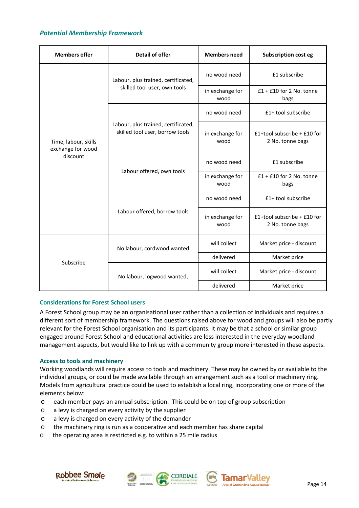### *Potential Membership Framework*

| <b>Members offer</b>                                  | <b>Detail of offer</b>                                                 | <b>Members need</b>     | <b>Subscription cost eg</b>                       |
|-------------------------------------------------------|------------------------------------------------------------------------|-------------------------|---------------------------------------------------|
| Time, labour, skills<br>exchange for wood<br>discount | Labour, plus trained, certificated,                                    | no wood need            | £1 subscribe                                      |
|                                                       | skilled tool user, own tools                                           | in exchange for<br>wood | $£1 + £10$ for 2 No. tonne<br>bags                |
|                                                       |                                                                        | no wood need            | £1+ tool subscribe                                |
|                                                       | Labour, plus trained, certificated,<br>skilled tool user, borrow tools | in exchange for<br>wood | £1+tool subscribe $+$ £10 for<br>2 No. tonne bags |
|                                                       |                                                                        | no wood need            | £1 subscribe                                      |
|                                                       | Labour offered, own tools                                              | in exchange for<br>wood | $£1 + £10$ for 2 No. tonne<br>bags                |
|                                                       |                                                                        | no wood need            | £1+ tool subscribe                                |
|                                                       | Labour offered, borrow tools                                           | in exchange for<br>wood | £1+tool subscribe $+$ £10 for<br>2 No. tonne bags |
| Subscribe                                             | No labour, cordwood wanted                                             | will collect            | Market price - discount                           |
|                                                       |                                                                        | delivered               | Market price                                      |
|                                                       | No labour, logwood wanted,                                             | will collect            | Market price - discount                           |
|                                                       |                                                                        | delivered               | Market price                                      |

#### **Considerations for Forest School users**

A Forest School group may be an organisational user rather than a collection of individuals and requires a different sort of membership framework. The questions raised above for woodland groups will also be partly relevant for the Forest School organisation and its participants. It may be that a school or similar group engaged around Forest School and educational activities are less interested in the everyday woodland management aspects, but would like to link up with a community group more interested in these aspects.

#### **Access to tools and machinery**

Working woodlands will require access to tools and machinery. These may be owned by or available to the individual groups, or could be made available through an arrangement such as a tool or machinery ring. Models from agricultural practice could be used to establish a local ring, incorporating one or more of the elements below:

- o each member pays an annual subscription. This could be on top of group subscription
- o a levy is charged on every activity by the supplier
- o a levy is charged on every activity of the demander
- o the machinery ring is run as a cooperative and each member has share capital
- o the operating area is restricted e.g. to within a 25 mile radius





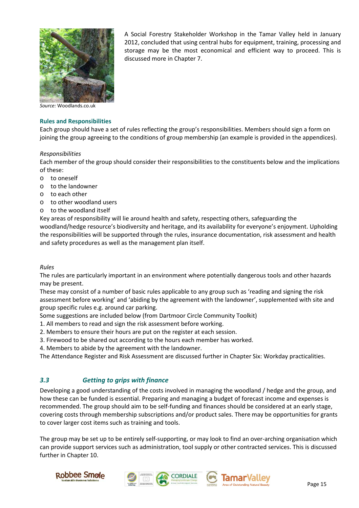

A Social Forestry Stakeholder Workshop in the Tamar Valley held in January 2012, concluded that using central hubs for equipment, training, processing and storage may be the most economical and efficient way to proceed. This is discussed more in Chapter 7.

*Source:* Woodlands.co.uk

#### **Rules and Responsibilities**

Each group should have a set of rules reflecting the group's responsibilities. Members should sign a form on joining the group agreeing to the conditions of group membership (an example is provided in the appendices).

#### *Responsibilities*

Each member of the group should consider their responsibilities to the constituents below and the implications of these:

- o to oneself
- o to the landowner
- o to each other
- o to other woodland users
- o to the woodland itself

Key areas of responsibility will lie around health and safety, respecting others, safeguarding the woodland/hedge resource's biodiversity and heritage, and its availability for everyone's enjoyment. Upholding the responsibilities will be supported through the rules, insurance documentation, risk assessment and health and safety procedures as well as the management plan itself.

#### *Rules*

The rules are particularly important in an environment where potentially dangerous tools and other hazards may be present.

These may consist of a number of basic rules applicable to any group such as 'reading and signing the risk assessment before working' and 'abiding by the agreement with the landowner', supplemented with site and group specific rules e.g. around car parking.

Some suggestions are included below (from Dartmoor Circle Community Toolkit)

1. All members to read and sign the risk assessment before working.

- 2. Members to ensure their hours are put on the register at each session.
- 3. Firewood to be shared out according to the hours each member has worked.
- 4. Members to abide by the agreement with the landowner.

The Attendance Register and Risk Assessment are discussed further in Chapter Six: Workday practicalities.

#### *3.3 Getting to grips with finance*

Developing a good understanding of the costs involved in managing the woodland / hedge and the group, and how these can be funded is essential. Preparing and managing a budget of forecast income and expenses is recommended. The group should aim to be self-funding and finances should be considered at an early stage, covering costs through membership subscriptions and/or product sales. There may be opportunities for grants to cover larger cost items such as training and tools.

The group may be set up to be entirely self-supporting, or may look to find an over-arching organisation which can provide support services such as administration, tool supply or other contracted services. This is discussed further in Chapter 10.